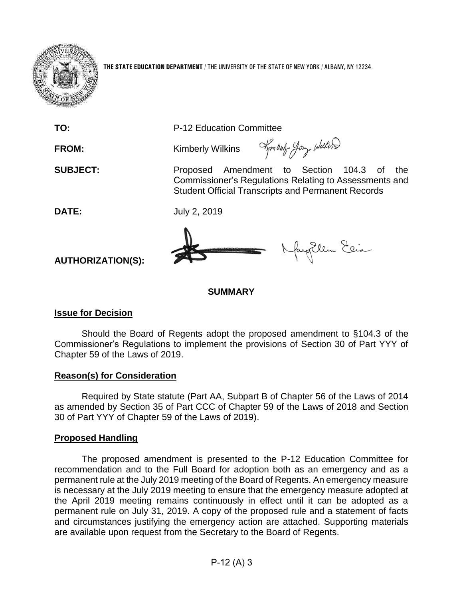

**THE STATE EDUCATION DEPARTMENT** / THE UNIVERSITY OF THE STATE OF NEW YORK / ALBANY, NY 12234

**TO:** P-12 Education Committee

**FROM:** Kimberly Wilkins

**SUBJECT:** Proposed Amendment to Section 104.3 of the Commissioner's Regulations Relating to Assessments and Student Official Transcripts and Permanent Records

Kymbart Jony Welter

**DATE:** July 2, 2019

fayEllen Elia

**AUTHORIZATION(S):**

## **SUMMARY**

## **Issue for Decision**

Should the Board of Regents adopt the proposed amendment to §104.3 of the Commissioner's Regulations to implement the provisions of Section 30 of Part YYY of Chapter 59 of the Laws of 2019.

## **Reason(s) for Consideration**

Required by State statute (Part AA, Subpart B of Chapter 56 of the Laws of 2014 as amended by Section 35 of Part CCC of Chapter 59 of the Laws of 2018 and Section 30 of Part YYY of Chapter 59 of the Laws of 2019).

## **Proposed Handling**

The proposed amendment is presented to the P-12 Education Committee for recommendation and to the Full Board for adoption both as an emergency and as a permanent rule at the July 2019 meeting of the Board of Regents. An emergency measure is necessary at the July 2019 meeting to ensure that the emergency measure adopted at the April 2019 meeting remains continuously in effect until it can be adopted as a permanent rule on July 31, 2019. A copy of the proposed rule and a statement of facts and circumstances justifying the emergency action are attached. Supporting materials are available upon request from the Secretary to the Board of Regents.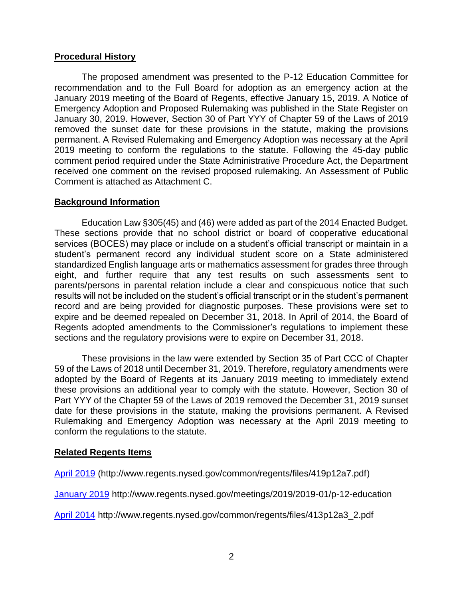## **Procedural History**

The proposed amendment was presented to the P-12 Education Committee for recommendation and to the Full Board for adoption as an emergency action at the January 2019 meeting of the Board of Regents, effective January 15, 2019. A Notice of Emergency Adoption and Proposed Rulemaking was published in the State Register on January 30, 2019. However, Section 30 of Part YYY of Chapter 59 of the Laws of 2019 removed the sunset date for these provisions in the statute, making the provisions permanent. A Revised Rulemaking and Emergency Adoption was necessary at the April 2019 meeting to conform the regulations to the statute. Following the 45-day public comment period required under the State Administrative Procedure Act, the Department received one comment on the revised proposed rulemaking. An Assessment of Public Comment is attached as Attachment C.

## **Background Information**

Education Law §305(45) and (46) were added as part of the 2014 Enacted Budget. These sections provide that no school district or board of cooperative educational services (BOCES) may place or include on a student's official transcript or maintain in a student's permanent record any individual student score on a State administered standardized English language arts or mathematics assessment for grades three through eight, and further require that any test results on such assessments sent to parents/persons in parental relation include a clear and conspicuous notice that such results will not be included on the student's official transcript or in the student's permanent record and are being provided for diagnostic purposes. These provisions were set to expire and be deemed repealed on December 31, 2018. In April of 2014, the Board of Regents adopted amendments to the Commissioner's regulations to implement these sections and the regulatory provisions were to expire on December 31, 2018.

These provisions in the law were extended by Section 35 of Part CCC of Chapter 59 of the Laws of 2018 until December 31, 2019. Therefore, regulatory amendments were adopted by the Board of Regents at its January 2019 meeting to immediately extend these provisions an additional year to comply with the statute. However, Section 30 of Part YYY of the Chapter 59 of the Laws of 2019 removed the December 31, 2019 sunset date for these provisions in the statute, making the provisions permanent. A Revised Rulemaking and Emergency Adoption was necessary at the April 2019 meeting to conform the regulations to the statute.

## **Related Regents Items**

[April 2019](http://www.regents.nysed.gov/common/regents/files/419p12a7.pdf) (http://www.regents.nysed.gov/common/regents/files/419p12a7.pdf)

[January 2019](http://www.regents.nysed.gov/meetings/2019/2019-01/p-12-education) http://www.regents.nysed.gov/meetings/2019/2019-01/p-12-education

[April 2014](http://www.regents.nysed.gov/common/regents/files/413p12a3_2.pdf) http://www.regents.nysed.gov/common/regents/files/413p12a3\_2.pdf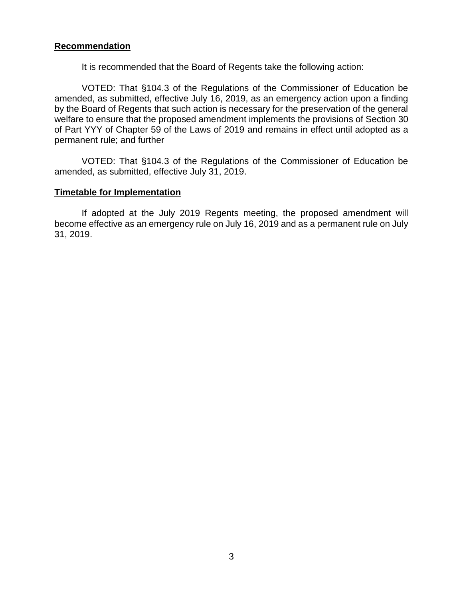## **Recommendation**

It is recommended that the Board of Regents take the following action:

VOTED: That §104.3 of the Regulations of the Commissioner of Education be amended, as submitted, effective July 16, 2019, as an emergency action upon a finding by the Board of Regents that such action is necessary for the preservation of the general welfare to ensure that the proposed amendment implements the provisions of Section 30 of Part YYY of Chapter 59 of the Laws of 2019 and remains in effect until adopted as a permanent rule; and further

VOTED: That §104.3 of the Regulations of the Commissioner of Education be amended, as submitted, effective July 31, 2019.

#### **Timetable for Implementation**

If adopted at the July 2019 Regents meeting, the proposed amendment will become effective as an emergency rule on July 16, 2019 and as a permanent rule on July 31, 2019.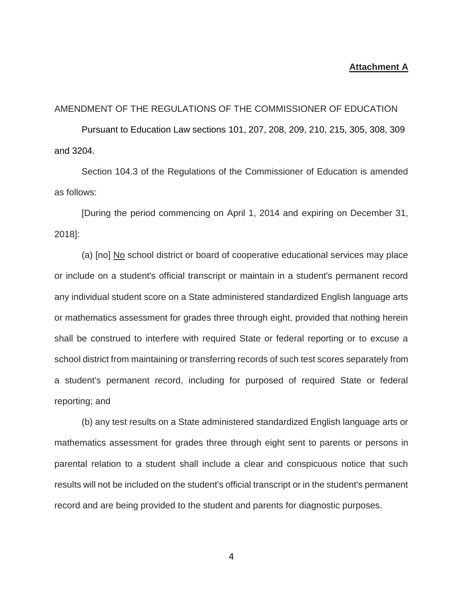#### **Attachment A**

#### AMENDMENT OF THE REGULATIONS OF THE COMMISSIONER OF EDUCATION

Pursuant to Education Law sections 101, 207, 208, 209, 210, 215, 305, 308, 309 and 3204.

Section 104.3 of the Regulations of the Commissioner of Education is amended as follows:

[During the period commencing on April 1, 2014 and expiring on December 31, 2018]:

(a) [no] No school district or board of cooperative educational services may place or include on a student's official transcript or maintain in a student's permanent record any individual student score on a State administered standardized English language arts or mathematics assessment for grades three through eight, provided that nothing herein shall be construed to interfere with required State or federal reporting or to excuse a school district from maintaining or transferring records of such test scores separately from a student's permanent record, including for purposed of required State or federal reporting; and

(b) any test results on a State administered standardized English language arts or mathematics assessment for grades three through eight sent to parents or persons in parental relation to a student shall include a clear and conspicuous notice that such results will not be included on the student's official transcript or in the student's permanent record and are being provided to the student and parents for diagnostic purposes.

4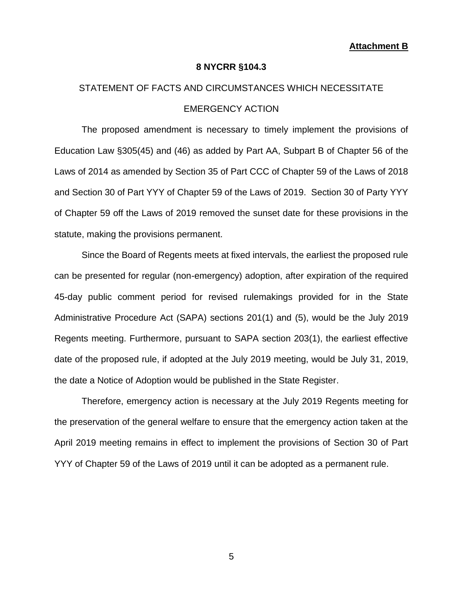#### **8 NYCRR §104.3**

# STATEMENT OF FACTS AND CIRCUMSTANCES WHICH NECESSITATE EMERGENCY ACTION

The proposed amendment is necessary to timely implement the provisions of Education Law §305(45) and (46) as added by Part AA, Subpart B of Chapter 56 of the Laws of 2014 as amended by Section 35 of Part CCC of Chapter 59 of the Laws of 2018 and Section 30 of Part YYY of Chapter 59 of the Laws of 2019. Section 30 of Party YYY of Chapter 59 off the Laws of 2019 removed the sunset date for these provisions in the statute, making the provisions permanent.

Since the Board of Regents meets at fixed intervals, the earliest the proposed rule can be presented for regular (non-emergency) adoption, after expiration of the required 45-day public comment period for revised rulemakings provided for in the State Administrative Procedure Act (SAPA) sections 201(1) and (5), would be the July 2019 Regents meeting. Furthermore, pursuant to SAPA section 203(1), the earliest effective date of the proposed rule, if adopted at the July 2019 meeting, would be July 31, 2019, the date a Notice of Adoption would be published in the State Register.

Therefore, emergency action is necessary at the July 2019 Regents meeting for the preservation of the general welfare to ensure that the emergency action taken at the April 2019 meeting remains in effect to implement the provisions of Section 30 of Part YYY of Chapter 59 of the Laws of 2019 until it can be adopted as a permanent rule.

5